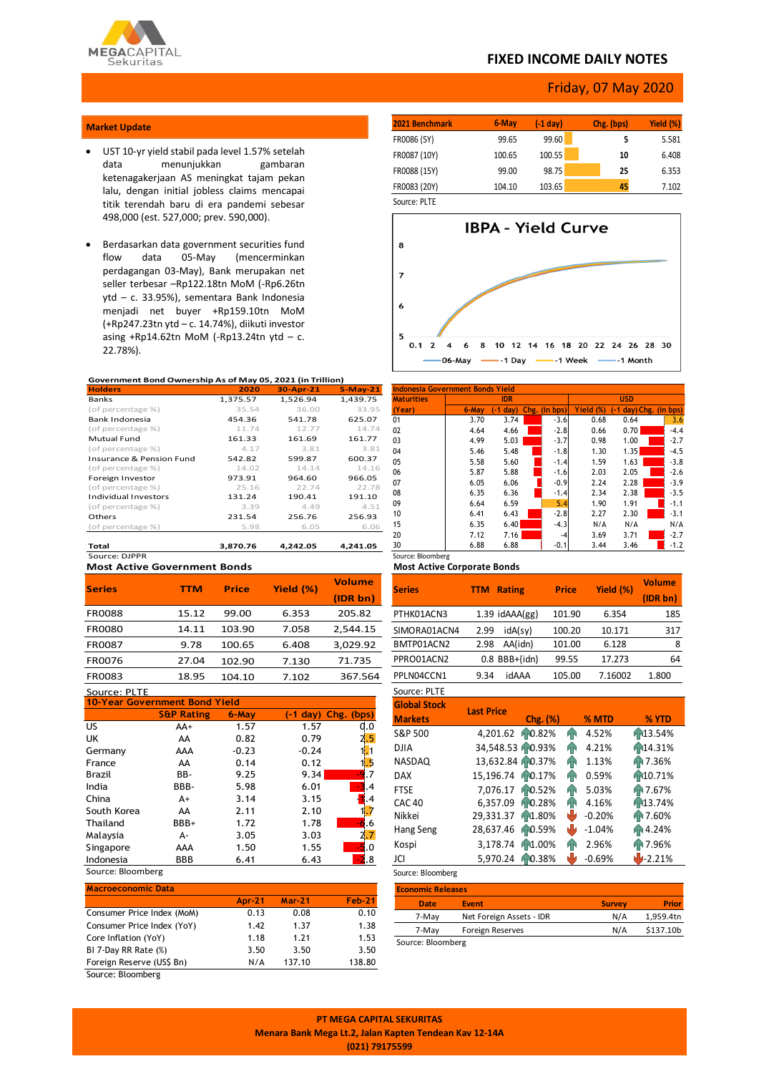

## **FIXED INCOME DAILY NOTES**

## Friday, 07 May 2020

### **Market Update**

- UST 10-yr yield stabil pada level 1.57% setelah data menunjukkan gambaran ketenagakerjaan AS meningkat tajam pekan lalu, dengan initial jobless claims mencapai titik terendah baru di era pandemi sebesar 498,000 (est. 527,000; prev. 590,000).
- Berdasarkan data government securities fund (mencerminkan perdagangan 03-May), Bank merupakan net seller terbesar –Rp122.18tn MoM (-Rp6.26tn ytd – c. 33.95%), sementara Bank Indonesia menjadi net buyer +Rp159.10tn MoM (+Rp247.23tn ytd – c. 14.74%), diikuti investor asing +Rp14.62tn MoM (-Rp13.24tn ytd  $-$  c. 22.78%).

#### **Government Bond Ownership As of May 05, 2021 (in Trillion)**

| <b>Holders</b>                      | 2020     | 30-Apr-21 | $5-May-21$ |
|-------------------------------------|----------|-----------|------------|
| Banks                               | 1,375.57 | 1,526.94  | 1,439.75   |
| (of percentage %)                   | 35.54    | 36.00     | 33.95      |
| Bank Indonesia                      | 454.36   | 541.78    | 625.07     |
| (of percentage %)                   | 11.74    | 12.77     | 14.74      |
| Mutual Fund                         | 161.33   | 161.69    | 161.77     |
| (of percentage %)                   | 4.17     | 3.81      | 3.81       |
| <b>Insurance &amp; Pension Fund</b> | 542.82   | 599.87    | 600.37     |
| (of percentage %)                   | 14.02    | 14.14     | 14.16      |
| Foreign Investor                    | 973.91   | 964.60    | 966.05     |
| (of percentage %)                   | 25.16    | 22.74     | 22.78      |
| <b>Individual Investors</b>         | 131.24   | 190.41    | 191.10     |
| (of percentage %)                   | 3.39     | 4.49      | 4.51       |
| Others                              | 231.54   | 256.76    | 256.93     |
| (of percentage %)                   | 5.98     | 6.05      | 6.06       |
|                                     |          |           |            |
| Total                               | 3.870.76 | 4.242.05  | 4.241.05   |

**Most Active Government Bonds** Source: DJPPR

|               | <b>TTM</b> | <b>Price</b> |           | <b>Volume</b> |
|---------------|------------|--------------|-----------|---------------|
| <b>Series</b> |            |              | Yield (%) | (IDR bn)      |
| <b>FR0088</b> | 15.12      | 99.00        | 6.353     | 205.82        |
| <b>FR0080</b> | 14.11      | 103.90       | 7.058     | 2,544.15      |
| FR0087        | 9.78       | 100.65       | 6.408     | 3,029.92      |
| FR0076        | 27.04      | 102.90       | 7.130     | 71.735        |
| FR0083        | 18.95      | 104.10       | 7.102     | 367.564       |
| $C = 100$     |            |              |           |               |

| Source: PLIE                         |                       |         |                               |            |  |  |  |  |  |  |
|--------------------------------------|-----------------------|---------|-------------------------------|------------|--|--|--|--|--|--|
| <b>10-Year Government Bond Yield</b> |                       |         |                               |            |  |  |  |  |  |  |
|                                      | <b>S&amp;P Rating</b> | 6-May   | $(-1 \text{ day})$ Chg. (bps) |            |  |  |  |  |  |  |
| US.                                  | AA+                   | 1.57    | 1.57                          | 0.0        |  |  |  |  |  |  |
| UK                                   | AA                    | 0.82    | 0.79                          |            |  |  |  |  |  |  |
| Germany                              | AAA                   | $-0.23$ | $-0.24$                       |            |  |  |  |  |  |  |
| France                               | AA                    | 0.14    | 0.12                          | 5          |  |  |  |  |  |  |
| Brazil                               | BB-                   | 9.25    | 9.34                          |            |  |  |  |  |  |  |
| India                                | BBB-                  | 5.98    | 6.01                          | 3.4        |  |  |  |  |  |  |
| China                                | A+                    | 3.14    | 3.15                          |            |  |  |  |  |  |  |
| South Korea                          | AA                    | 2.11    | 2.10                          |            |  |  |  |  |  |  |
| Thailand                             | BBB+                  | 1.72    | 1.78                          | -6.6       |  |  |  |  |  |  |
| Malaysia                             | А-                    | 3.05    | 3.03                          | 2.7        |  |  |  |  |  |  |
| Singapore                            | AAA                   | 1.50    | 1.55                          | -5.0       |  |  |  |  |  |  |
| Indonesia                            | <b>BBB</b>            | 6.41    | 6.43                          | <b>.</b> 8 |  |  |  |  |  |  |
|                                      |                       |         |                               |            |  |  |  |  |  |  |

Source: Bloomberg

| <b>Macroeconomic Data</b>  |               |          |               |
|----------------------------|---------------|----------|---------------|
|                            | <b>Apr-21</b> | $Mar-21$ | <b>Feb-21</b> |
| Consumer Price Index (MoM) | 0.13          | 0.08     | 0.10          |
| Consumer Price Index (YoY) | 1.42          | 1.37     | 1.38          |
| Core Inflation (YoY)       | 1.18          | 1.21     | 1.53          |
| BI 7-Day RR Rate (%)       | 3.50          | 3.50     | 3.50          |
| Foreign Reserve (US\$ Bn)  | N/A           | 137.10   | 138.80        |
| Source: Bloomberg          |               |          |               |

| 2021 Benchmark | 6-May  | (-1 day) | Chg. (bps) | Yield (%) |
|----------------|--------|----------|------------|-----------|
| FR0086 (5Y)    | 99.65  | 99.60    | 5          | 5.581     |
| FR0087 (10Y)   | 100.65 | 100.55   | 10         | 6.408     |
| FR0088 (15Y)   | 99.00  | 98.75    | 25         | 6.353     |
| FR0083 (20Y)   | 104.10 | 103.65   | 45         | 7.102     |
| $C = 1$        |        |          |            |           |

Source: PLTE



| Indonesia Government Bonds Yield |            |            |  |               |           |            |                        |  |
|----------------------------------|------------|------------|--|---------------|-----------|------------|------------------------|--|
| <b>Maturities</b>                | <b>IDR</b> |            |  |               |           | <b>USD</b> |                        |  |
| (Year)                           | 6-May      | $(-1 day)$ |  | Chg. (in bps) | Yield (%) |            | (-1 day) Chg. (in bps) |  |
| 01                               | 3.70       | 3.74       |  | $-3.6$        | 0.68      | 0.64       | 3.6                    |  |
| 02                               | 4.64       | 4.66       |  | $-2.8$        | 0.66      | 0.70       | $-4.4$                 |  |
| 03                               | 4.99       | 5.03       |  | $-3.7$        | 0.98      | 1.00       | $-2.7$                 |  |
| 04                               | 5.46       | 5.48       |  | $-1.8$        | 1.30      | 1.35       | $-4.5$                 |  |
| 05                               | 5.58       | 5.60       |  | $-1.4$        | 1.59      | 1.63       | $-3.8$                 |  |
| 06                               | 5.87       | 5.88       |  | $-1.6$        | 2.03      | 2.05       | $-2.6$                 |  |
| 07                               | 6.05       | 6.06       |  | $-0.9$        | 2.24      | 2.28       | $-3.9$                 |  |
| 08                               | 6.35       | 6.36       |  | $-1.4$        | 2.34      | 2.38       | $-3.5$                 |  |
| 09                               | 6.64       | 6.59       |  | 5.4           | 1.90      | 1.91       | $-1.1$                 |  |
| 10                               | 6.41       | 6.43       |  | $-2.8$        | 2.27      | 2.30       | $-3.1$                 |  |
| 15                               | 6.35       | 6.40       |  | $-4.3$        | N/A       | N/A        | N/A                    |  |
| 20                               | 7.12       | 7.16       |  | $-4$          | 3.69      | 3.71       | $-2.7$                 |  |
| 30                               | 6.88       | 6.88       |  | $-0.1$        | 3.44      | 3.46       | $-1.2$                 |  |
| Source: Bloomberg                |            |            |  |               |           |            |                        |  |

#### **Most Active Corporate Bonds**

| <b>Series</b> | <b>Rating</b><br>TTM | <b>Price</b> | Yield (%) | <b>Volume</b><br>(IDR bn) |
|---------------|----------------------|--------------|-----------|---------------------------|
| PTHK01ACN3    | $1.39$ idAAA $(gg)$  | 101.90       | 6.354     | 185                       |
| SIMORA01ACN4  | idA(sy)<br>2.99      | 100.20       | 10.171    | 317                       |
| BMTP01ACN2    | AA(idn)<br>2.98      | 101.00       | 6.128     | 8                         |
| PPRO01ACN2    | $0.8$ BBB+(idn)      | 99.55        | 17.273    | 64                        |
| PPLN04CCN1    | idAAA<br>9.34        | 105.00       | 7.16002   | 1.800                     |
| Source: PLTE  |                      |              |           |                           |

| <b>Global Stock</b> | <b>Last Price</b> |                     |    |          |          |  |
|---------------------|-------------------|---------------------|----|----------|----------|--|
| <b>Markets</b>      |                   | Chg. (%)            |    | % MTD    | % YTD    |  |
| S&P 500             | 4,201.62          | 10.82%              | ЙN | 4.52%    | 13.54%   |  |
| <b>DJIA</b>         | 34,548.53 0.93%   |                     | ЙN | 4.21%    | 14.31%   |  |
| <b>NASDAQ</b>       | 13,632.84 10.37%  |                     | ЙÑ | 1.13%    | AP 7.36% |  |
| <b>DAX</b>          | 15,196.74         | 10.17%              | ЙÑ | 0.59%    | 10.71%   |  |
| <b>FTSE</b>         | 7,076.17          | 10.52%              | ЙÑ | 5.03%    | AP 7.67% |  |
| <b>CAC 40</b>       | 6.357.09          | 10.28%              | ЙÑ | 4.16%    | P13.74%  |  |
| Nikkei              | 29,331.37         | h <sub>1.80</sub> % | w  | $-0.20%$ | AP 7.60% |  |
| Hang Seng           | 28,637.46         | 10.59%              | N۷ | $-1.04%$ | AN 4.24% |  |
| Kospi               | 3,178.74          | AN1.00%             | ЙN | 2.96%    | AP 7.96% |  |
| JCI                 | 5,970.24          | 10.38%              | N۷ | $-0.69%$ | $-2.21%$ |  |

## Source: Bloomberg **Economic Releases Date Event Survey Prior** 7-May Net Foreign Assets - IDR N/A 1,959.4tn 7-May Foreign Reserves N/A \$137.10b Source: Bloomberg

**PT MEGA CAPITAL SEKURITAS Menara Bank Mega Lt.2, Jalan Kapten Tendean Kav 12-14A (021) 79175599**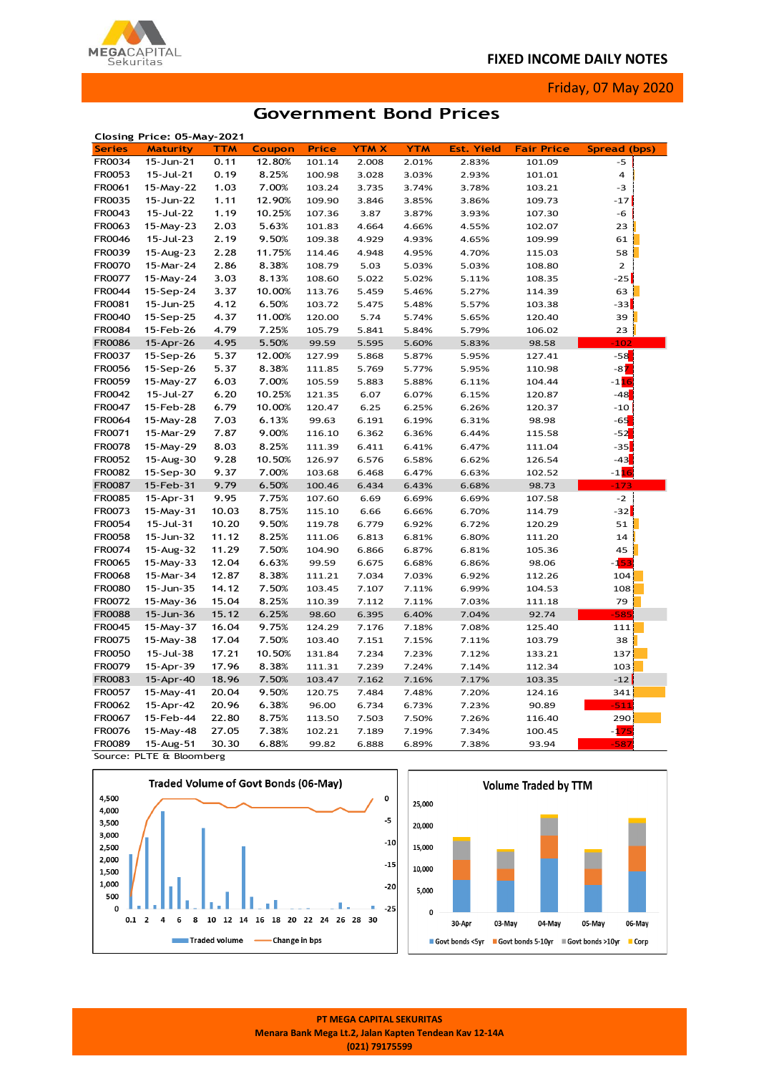

Friday, 07 May 2020

# **Government Bond Prices**

|               | Closing Price: 05-May-2021 |       |        |              |       |            |                   |                   |              |  |
|---------------|----------------------------|-------|--------|--------------|-------|------------|-------------------|-------------------|--------------|--|
| <b>Series</b> | <b>Maturity</b>            | TTM   | Coupon | <b>Price</b> | YTM X | <b>YTM</b> | <b>Est. Yield</b> | <b>Fair Price</b> | Spread (bps) |  |
| FR0034        | 15-Jun-21                  | 0.11  | 12.80% | 101.14       | 2.008 | 2.01%      | 2.83%             | 101.09            | $-5$         |  |
| FR0053        | 15-Jul-21                  | 0.19  | 8.25%  | 100.98       | 3.028 | 3.03%      | 2.93%             | 101.01            | 4            |  |
| FR0061        | 15-May-22                  | 1.03  | 7.00%  | 103.24       | 3.735 | 3.74%      | 3.78%             | 103.21            | -3           |  |
| FR0035        | 15-Jun-22                  | 1.11  | 12.90% | 109.90       | 3.846 | 3.85%      | 3.86%             | 109.73            | $-17$        |  |
| FR0043        | 15-Jul-22                  | 1.19  | 10.25% | 107.36       | 3.87  | 3.87%      | 3.93%             | 107.30            | -6           |  |
| FR0063        | 15-May-23                  | 2.03  | 5.63%  | 101.83       | 4.664 | 4.66%      | 4.55%             | 102.07            | 23           |  |
| FR0046        | 15-Jul-23                  | 2.19  | 9.50%  | 109.38       | 4.929 | 4.93%      | 4.65%             | 109.99            | 61           |  |
| FR0039        | 15-Aug-23                  | 2.28  | 11.75% | 114.46       | 4.948 | 4.95%      | 4.70%             | 115.03            | 58           |  |
| <b>FR0070</b> | 15-Mar-24                  | 2.86  | 8.38%  | 108.79       | 5.03  | 5.03%      | 5.03%             | 108.80            | $\mathbf{2}$ |  |
| FR0077        | 15-May-24                  | 3.03  | 8.13%  | 108.60       | 5.022 | 5.02%      | 5.11%             | 108.35            | $-25$        |  |
| FR0044        | 15-Sep-24                  | 3.37  | 10.00% | 113.76       | 5.459 | 5.46%      | 5.27%             | 114.39            | 63           |  |
| FR0081        | 15-Jun-25                  | 4.12  | 6.50%  | 103.72       | 5.475 | 5.48%      | 5.57%             | 103.38            | -33          |  |
| FR0040        | 15-Sep-25                  | 4.37  | 11.00% | 120.00       | 5.74  | 5.74%      | 5.65%             | 120.40            | 39           |  |
| FR0084        | 15-Feb-26                  | 4.79  | 7.25%  | 105.79       | 5.841 | 5.84%      | 5.79%             | 106.02            | 23           |  |
| <b>FR0086</b> | 15-Apr-26                  | 4.95  | 5.50%  | 99.59        | 5.595 | 5.60%      | 5.83%             | 98.58             | $-102$       |  |
| FR0037        | 15-Sep-26                  | 5.37  | 12.00% | 127.99       | 5.868 | 5.87%      | 5.95%             | 127.41            | $-58$        |  |
| <b>FR0056</b> | 15-Sep-26                  | 5.37  | 8.38%  | 111.85       | 5.769 | 5.77%      | 5.95%             | 110.98            | $-87$        |  |
| FR0059        | 15-May-27                  | 6.03  | 7.00%  | 105.59       | 5.883 | 5.88%      | 6.11%             | 104.44            | $-116$       |  |
| FR0042        | 15-Jul-27                  | 6.20  | 10.25% | 121.35       | 6.07  | 6.07%      | 6.15%             | 120.87            | $-48$        |  |
| FR0047        | 15-Feb-28                  | 6.79  | 10.00% | 120.47       | 6.25  | 6.25%      | 6.26%             | 120.37            | $-10$        |  |
| FR0064        | 15-May-28                  | 7.03  | 6.13%  | 99.63        | 6.191 | 6.19%      | 6.31%             | 98.98             | $-65$        |  |
| FR0071        | 15-Mar-29                  | 7.87  | 9.00%  | 116.10       | 6.362 | 6.36%      | 6.44%             | 115.58            | $-52$        |  |
| <b>FR0078</b> | 15-May-29                  | 8.03  | 8.25%  | 111.39       | 6.411 | 6.41%      | 6.47%             | 111.04            | $-35$        |  |
| FR0052        | 15-Aug-30                  | 9.28  | 10.50% | 126.97       | 6.576 | 6.58%      | 6.62%             | 126.54            | $-43$        |  |
| <b>FR0082</b> | 15-Sep-30                  | 9.37  | 7.00%  | 103.68       | 6.468 | 6.47%      | 6.63%             | 102.52            | $-116$       |  |
| <b>FR0087</b> | 15-Feb-31                  | 9.79  | 6.50%  | 100.46       | 6.434 | 6.43%      | 6.68%             | 98.73             | $-173$       |  |
| <b>FR0085</b> | 15-Apr-31                  | 9.95  | 7.75%  | 107.60       | 6.69  | 6.69%      | 6.69%             | 107.58            | $-2$         |  |
| FR0073        | 15-May-31                  | 10.03 | 8.75%  | 115.10       | 6.66  | 6.66%      | 6.70%             | 114.79            | -32          |  |
| FR0054        | 15-Jul-31                  | 10.20 | 9.50%  | 119.78       | 6.779 | 6.92%      | 6.72%             | 120.29            | 51           |  |
| <b>FR0058</b> | 15-Jun-32                  | 11.12 | 8.25%  | 111.06       | 6.813 | 6.81%      | 6.80%             | 111.20            | 14           |  |
| FR0074        | 15-Aug-32                  | 11.29 | 7.50%  | 104.90       | 6.866 | 6.87%      | 6.81%             | 105.36            | 45           |  |
| FR0065        | 15-May-33                  | 12.04 | 6.63%  | 99.59        | 6.675 | 6.68%      | 6.86%             | 98.06             | -153         |  |
| <b>FR0068</b> | 15-Mar-34                  | 12.87 | 8.38%  | 111.21       | 7.034 | 7.03%      | 6.92%             | 112.26            | 104          |  |
| <b>FR0080</b> | 15-Jun-35                  | 14.12 | 7.50%  | 103.45       | 7.107 | 7.11%      | 6.99%             | 104.53            | 108          |  |
| FR0072        | 15-May-36                  | 15.04 | 8.25%  | 110.39       | 7.112 | 7.11%      | 7.03%             | 111.18            | 79           |  |
| <b>FR0088</b> | 15-Jun-36                  | 15.12 | 6.25%  | 98.60        | 6.395 | 6.40%      | 7.04%             | 92.74             | $-585$       |  |
| FR0045        | 15-May-37                  | 16.04 | 9.75%  | 124.29       | 7.176 | 7.18%      | 7.08%             | 125.40            | 111          |  |
| FR0075        | 15-May-38                  | 17.04 | 7.50%  | 103.40       | 7.151 | 7.15%      | 7.11%             | 103.79            | 38           |  |
| <b>FR0050</b> | 15-Jul-38                  | 17.21 | 10.50% | 131.84       | 7.234 | 7.23%      | 7.12%             | 133.21            | 137          |  |
| FR0079        | 15-Apr-39                  | 17.96 | 8.38%  | 111.31       | 7.239 | 7.24%      | 7.14%             | 112.34            | 103          |  |
| FR0083        | 15-Apr-40                  | 18.96 | 7.50%  | 103.47       | 7.162 | 7.16%      | 7.17%             | 103.35            | $-12$        |  |
| FR0057        | 15-May-41                  | 20.04 | 9.50%  | 120.75       | 7.484 | 7.48%      | 7.20%             | 124.16            | 341          |  |
| FR0062        | 15-Apr-42                  | 20.96 | 6.38%  | 96.00        | 6.734 | 6.73%      | 7.23%             | 90.89             | $-511$       |  |
| FR0067        | 15-Feb-44                  | 22.80 | 8.75%  | 113.50       | 7.503 | 7.50%      | 7.26%             | 116.40            | 290          |  |
| FR0076        | 15-May-48                  | 27.05 | 7.38%  | 102.21       | 7.189 | 7.19%      | 7.34%             | 100.45            | -175         |  |
| FR0089        | 15-Aug-51                  | 30.30 | 6.88%  | 99.82        | 6.888 | 6.89%      | 7.38%             | 93.94             | $-587$       |  |
|               | Source: PLTE & Bloomberg   |       |        |              |       |            |                   |                   |              |  |





**PT MEGA CAPITAL SEKURITAS Menara Bank Mega Lt.2, Jalan Kapten Tendean Kav 12-14A (021) 79175599**